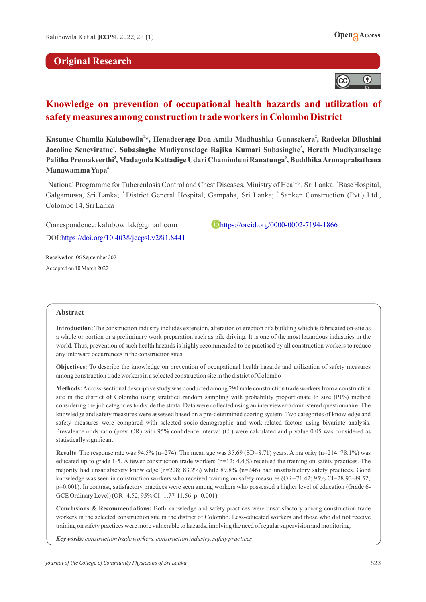



# **Knowledge on prevention of occupational health hazards and utilization of safety measures among construction trade workers in Colombo District**

 **<sup>2</sup> Kasunee Chamila Kalubowila \*, Henadeerage Don Amila Madhushka Gunasekera , Radeeka Dilushini 2 Jacoline Seneviratne , Subasinghe Mudiyanselage Rajika Kumari Subasinghe , Herath Mudiyanselage 3 Palitha Premakeerthi , Madagoda Kattadige Udari Chaminduni Ranatunga , Buddhika Arunaprabathana Manawamma Yapa**

<sup>1</sup> National Programme for Tuberculosis Control and Chest Diseases, Ministry of Health, Sri Lanka; <sup>2</sup> BaseHospital, Galgamuwa, Sri Lanka; <sup>3</sup> District General Hospital, Gampaha, Sri Lanka; <sup>4</sup> Sanken Construction (Pvt.) Ltd., Colombo 14, Sri Lanka

Correspondence: kalubowilak@gmail.com **<https://orcid.org/0000-0002-7194-1866>** DOI[:https://doi.org/10.4038/jccpsl.v28i1.8441](https://doi.org/10.4038/jccpsl.v28i1.8441)

Received on 06 September 2021 Accepted on 10 March 2022

#### **Abstract**

**Introduction:** The construction industry includes extension, alteration or erection of a building which is fabricated on-site as a whole or portion or a preliminary work preparation such as pile driving. It is one of the most hazardous industries in the world. Thus, prevention of such health hazards is highly recommended to be practised by all construction workers to reduce any untoward occurrences in the construction sites.

**Objectives:** To describe the knowledge on prevention of occupational health hazards and utilization of safety measures among construction trade workers in a selected construction site in the district of Colombo

**Methods:**Across-sectional descriptive study was conducted among 290 male construction trade workers from a construction site in the district of Colombo using stratified random sampling with probability proportionate to size (PPS) method considering the job categories to divide the strata. Data were collected using an interviewer-administered questionnaire. The knowledge and safety measures were assessed based on a pre-determined scoring system. Two categories of knowledge and safety measures were compared with selected socio-demographic and work-related factors using bivariate analysis. Prevalence odds ratio (prev. OR) with 95% confidence interval (CI) were calculated and p value 0.05 was considered as statistically significant.

**Results**: The response rate was 94.5% (n=274). The mean age was 35.69 (SD=8.71) years. A majority (n=214; 78.1%) was educated up to grade 1-5. A fewer construction trade workers  $(n=12; 4.4%)$  received the training on safety practices. The majority had unsatisfactory knowledge (n=228; 83.2%) while 89.8% (n=246) had unsatisfactory safety practices. Good knowledge was seen in construction workers who received training on safety measures (OR=71.42; 95% CI=28.93-89.52; p=0.001). In contrast, satisfactory practices were seen among workers who possessed a higher level of education (Grade 6- GCE Ordinary Level) (OR=4.52; 95% CI=1.77-11.56; p=0.001).

**Conclusions & Recommendations:** Both knowledge and safety practices were unsatisfactory among construction trade workers in the selected construction site in the district of Colombo. Less-educated workers and those who did not receive training on safety practices were more vulnerable to hazards, implying the need of regular supervision and monitoring.

*Keywords: construction trade workers, construction industry, safety practices*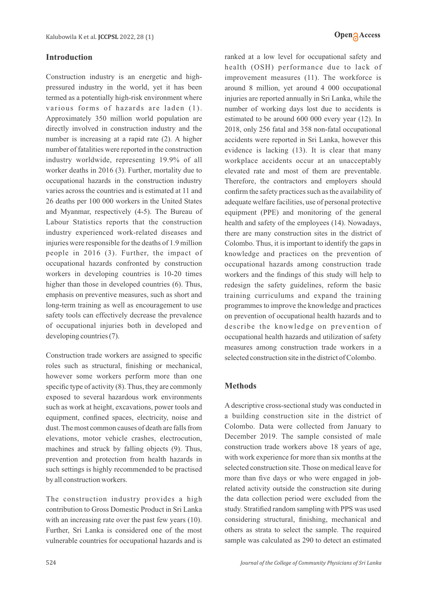## **Introduction**

Construction industry is an energetic and highpressured industry in the world, yet it has been termed as a potentially high-risk environment where various forms of hazards are laden (1). Approximately 350 million world population are directly involved in construction industry and the number is increasing at a rapid rate (2). A higher number of fatalities were reported in the construction industry worldwide, representing 19.9% of all worker deaths in 2016 (3). Further, mortality due to occupational hazards in the construction industry varies across the countries and is estimated at 11 and 26 deaths per 100 000 workers in the United States and Myanmar, respectively (4-5). The Bureau of Labour Statistics reports that the construction industry experienced work-related diseases and injuries were responsible for the deaths of 1.9 million people in 2016 (3). Further, the impact of occupational hazards confronted by construction workers in developing countries is 10-20 times higher than those in developed countries (6). Thus, emphasis on preventive measures, such as short and long-term training as well as encouragement to use safety tools can effectively decrease the prevalence of occupational injuries both in developed and developing countries (7).

Construction trade workers are assigned to specific roles such as structural, finishing or mechanical, however some workers perform more than one specific type of activity (8). Thus, they are commonly exposed to several hazardous work environments such as work at height, excavations, power tools and equipment, confined spaces, electricity, noise and dust. The most common causes of death are falls from elevations, motor vehicle crashes, electrocution, machines and struck by falling objects (9). Thus, prevention and protection from health hazards in such settings is highly recommended to be practised by all construction workers.

The construction industry provides a high contribution to Gross Domestic Product in Sri Lanka with an increasing rate over the past few years (10). Further, Sri Lanka is considered one of the most vulnerable countries for occupational hazards and is ranked at a low level for occupational safety and health (OSH) performance due to lack of improvement measures (11). The workforce is around 8 million, yet around 4 000 occupational injuries are reported annually in Sri Lanka, while the number of working days lost due to accidents is estimated to be around 600 000 every year (12). In 2018, only 256 fatal and 358 non-fatal occupational accidents were reported in Sri Lanka, however this evidence is lacking (13). It is clear that many workplace accidents occur at an unacceptably elevated rate and most of them are preventable. Therefore, the contractors and employers should confirm the safety practices such as the availability of adequate welfare facilities, use of personal protective equipment (PPE) and monitoring of the general health and safety of the employees (14). Nowadays, there are many construction sites in the district of Colombo. Thus, it is important to identify the gaps in knowledge and practices on the prevention of occupational hazards among construction trade workers and the findings of this study will help to redesign the safety guidelines, reform the basic training curriculums and expand the training programmes to improve the knowledge and practices on prevention of occupational health hazards and to describe the knowledge on prevention of occupational health hazards and utilization of safety measures among construction trade workers in a selected construction site in the district of Colombo.

### **Methods**

A descriptive cross-sectional study was conducted in a building construction site in the district of Colombo. Data were collected from January to December 2019. The sample consisted of male construction trade workers above 18 years of age, with work experience for more than six months at the selected construction site. Those on medical leave for more than five days or who were engaged in jobrelated activity outside the construction site during the data collection period were excluded from the study. Stratified random sampling with PPS was used considering structural, finishing, mechanical and others as strata to select the sample. The required sample was calculated as 290 to detect an estimated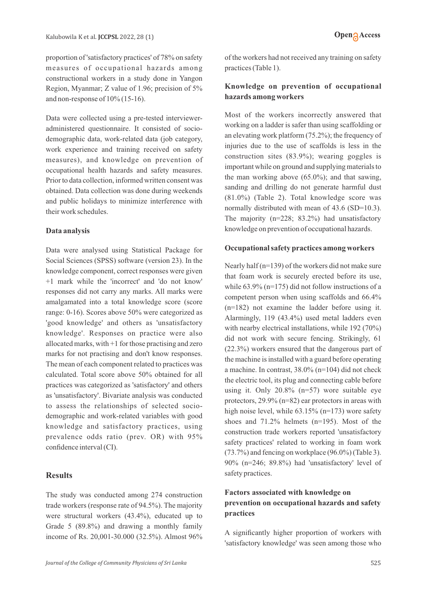proportion of 'satisfactory practices' of 78% on safety measures of occupational hazards among constructional workers in a study done in Yangon Region, Myanmar; Z value of 1.96; precision of 5% and non-response of 10% (15-16).

Data were collected using a pre-tested intervieweradministered questionnaire. It consisted of sociodemographic data, work-related data (job category, work experience and training received on safety measures), and knowledge on prevention of occupational health hazards and safety measures. Prior to data collection, informed written consent was obtained. Data collection was done during weekends and public holidays to minimize interference with their work schedules.

### **Data analysis**

Data were analysed using Statistical Package for Social Sciences (SPSS) software (version 23). In the knowledge component, correct responses were given +1 mark while the 'incorrect' and 'do not know' responses did not carry any marks. All marks were amalgamated into a total knowledge score (score range: 0-16). Scores above 50% were categorized as 'good knowledge' and others as 'unsatisfactory knowledge'. Responses on practice were also allocated marks, with +1 for those practising and zero marks for not practising and don't know responses. The mean of each component related to practices was calculated. Total score above 50% obtained for all practices was categorized as 'satisfactory' and others as 'unsatisfactory'. Bivariate analysis was conducted to assess the relationships of selected sociodemographic and work-related variables with good knowledge and satisfactory practices, using prevalence odds ratio (prev. OR) with 95% confidence interval (CI).

### **Results**

The study was conducted among 274 construction trade workers (response rate of 94.5%). The majority were structural workers (43.4%), educated up to Grade 5 (89.8%) and drawing a monthly family income of Rs. 20,001-30.000 (32.5%). Almost 96%

of the workers had not received any training on safety practices (Table 1).

### **Knowledge on prevention of occupational hazards among workers**

Most of the workers incorrectly answered that working on a ladder is safer than using scaffolding or an elevating work platform (75.2%); the frequency of injuries due to the use of scaffolds is less in the construction sites (83.9%); wearing goggles is important while on ground and supplying materials to the man working above (65.0%); and that sawing, sanding and drilling do not generate harmful dust (81.0%) (Table 2). Total knowledge score was normally distributed with mean of 43.6 (SD=10.3). The majority (n=228; 83.2%) had unsatisfactory knowledge on prevention of occupational hazards.

### **Occupational safety practices among workers**

Nearly half (n=139) of the workers did not make sure that foam work is securely erected before its use, while  $63.9\%$  (n=175) did not follow instructions of a competent person when using scaffolds and 66.4% (n=182) not examine the ladder before using it. Alarmingly, 119 (43.4%) used metal ladders even with nearby electrical installations, while 192 (70%) did not work with secure fencing. Strikingly, 61 (22.3%) workers ensured that the dangerous part of the machine is installed with a guard before operating a machine. In contrast, 38.0% (n=104) did not check the electric tool, its plug and connecting cable before using it. Only 20.8% (n=57) wore suitable eye protectors, 29.9% (n=82) ear protectors in areas with high noise level, while 63.15% (n=173) wore safety shoes and 71.2% helmets (n=195). Most of the construction trade workers reported 'unsatisfactory safety practices' related to working in foam work (73.7%) and fencing on workplace (96.0%) (Table 3). 90% (n=246; 89.8%) had 'unsatisfactory' level of safety practices.

# **Factors associated with knowledge on prevention on occupational hazards and safety practices**

A significantly higher proportion of workers with 'satisfactory knowledge' was seen among those who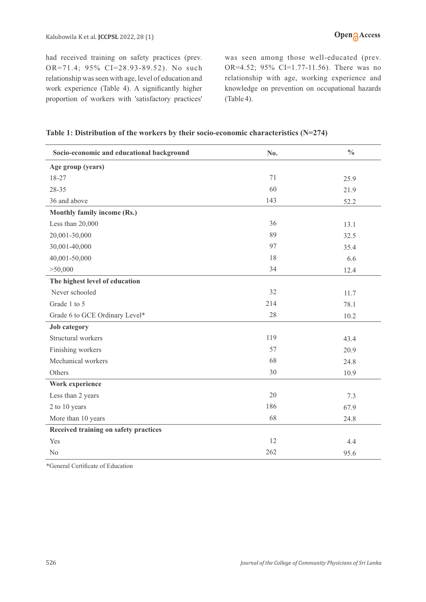had received training on safety practices (prev. OR=71.4; 95% CI=28.93-89.52). No such relationship was seen with age, level of education and work experience (Table 4). A significantly higher proportion of workers with 'satisfactory practices' was seen among those well-educated (prev. OR=4.52; 95% CI=1.77-11.56). There was no relationship with age, working experience and knowledge on prevention on occupational hazards (Table 4).

| Socio-economic and educational background | No. | $\frac{0}{0}$ |
|-------------------------------------------|-----|---------------|
| Age group (years)                         |     |               |
| 18-27                                     | 71  | 25.9          |
| 28-35                                     | 60  | 21.9          |
| 36 and above                              | 143 | 52.2          |
| Monthly family income (Rs.)               |     |               |
| Less than 20,000                          | 36  | 13.1          |
| 20,001-30,000                             | 89  | 32.5          |
| 30,001-40,000                             | 97  | 35.4          |
| 40,001-50,000                             | 18  | 6.6           |
| > 50,000                                  | 34  | 12.4          |
| The highest level of education            |     |               |
| Never schooled                            | 32  | 11.7          |
| Grade 1 to 5                              | 214 | 78.1          |
| Grade 6 to GCE Ordinary Level*            | 28  | 10.2          |
| <b>Job category</b>                       |     |               |
| Structural workers                        | 119 | 43.4          |
| Finishing workers                         | 57  | 20.9          |
| Mechanical workers                        | 68  | 24.8          |
| Others                                    | 30  | 10.9          |
| Work experience                           |     |               |
| Less than 2 years                         | 20  | 7.3           |
| 2 to 10 years                             | 186 | 67.9          |
| More than 10 years                        | 68  | 24.8          |
| Received training on safety practices     |     |               |
| Yes                                       | 12  | 4.4           |
| No                                        | 262 | 95.6          |

\*General Certificate of Education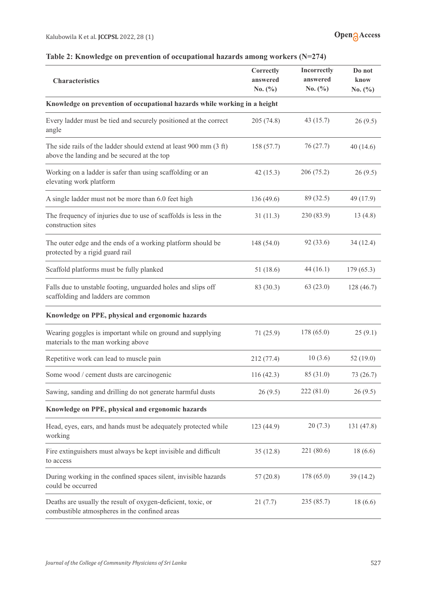| Table 2: Knowledge on prevention of occupational hazards among workers (N=274) |  |  |  |  |  |
|--------------------------------------------------------------------------------|--|--|--|--|--|
|--------------------------------------------------------------------------------|--|--|--|--|--|

| <b>Characteristics</b>                                                                                           | Correctly<br>answered<br>No. $(\% )$ | Incorrectly<br>answered<br>No. $(\% )$ | Do not<br>know<br>No. $(\%)$ |  |  |  |  |  |
|------------------------------------------------------------------------------------------------------------------|--------------------------------------|----------------------------------------|------------------------------|--|--|--|--|--|
| Knowledge on prevention of occupational hazards while working in a height                                        |                                      |                                        |                              |  |  |  |  |  |
| Every ladder must be tied and securely positioned at the correct<br>angle                                        | 205 (74.8)                           | 43 (15.7)                              | 26(9.5)                      |  |  |  |  |  |
| The side rails of the ladder should extend at least 900 mm (3 ft)<br>above the landing and be secured at the top | 158 (57.7)                           | 76 (27.7)                              | 40(14.6)                     |  |  |  |  |  |
| Working on a ladder is safer than using scaffolding or an<br>elevating work platform                             | 42(15.3)                             | 206 (75.2)                             | 26(9.5)                      |  |  |  |  |  |
| A single ladder must not be more than 6.0 feet high                                                              | 136 (49.6)                           | 89 (32.5)                              | 49 (17.9)                    |  |  |  |  |  |
| The frequency of injuries due to use of scaffolds is less in the<br>construction sites                           | 31(11.3)                             | 230 (83.9)                             | 13(4.8)                      |  |  |  |  |  |
| The outer edge and the ends of a working platform should be<br>protected by a rigid guard rail                   | 148 (54.0)                           | 92 (33.6)                              | 34(12.4)                     |  |  |  |  |  |
| Scaffold platforms must be fully planked                                                                         | 51 (18.6)                            | 44 (16.1)                              | 179(65.3)                    |  |  |  |  |  |
| Falls due to unstable footing, unguarded holes and slips off<br>scaffolding and ladders are common               | 83 (30.3)                            | 63(23.0)                               | 128(46.7)                    |  |  |  |  |  |
| Knowledge on PPE, physical and ergonomic hazards                                                                 |                                      |                                        |                              |  |  |  |  |  |
| Wearing goggles is important while on ground and supplying<br>materials to the man working above                 | 71(25.9)                             | 178 (65.0)                             | 25(9.1)                      |  |  |  |  |  |
| Repetitive work can lead to muscle pain                                                                          | 212(77.4)                            | 10(3.6)                                | 52(19.0)                     |  |  |  |  |  |
| Some wood / cement dusts are carcinogenic                                                                        | 116(42.3)                            | 85 (31.0)                              | 73 (26.7)                    |  |  |  |  |  |
| Sawing, sanding and drilling do not generate harmful dusts                                                       | 26(9.5)                              | 222(81.0)                              | 26(9.5)                      |  |  |  |  |  |
| Knowledge on PPE, physical and ergonomic hazards                                                                 |                                      |                                        |                              |  |  |  |  |  |
| Head, eyes, ears, and hands must be adequately protected while<br>working                                        | 123 (44.9)                           | 20(7.3)                                | 131 (47.8)                   |  |  |  |  |  |
| Fire extinguishers must always be kept invisible and difficult<br>to access                                      | 35(12.8)                             | 221 (80.6)                             | 18(6.6)                      |  |  |  |  |  |
| During working in the confined spaces silent, invisible hazards<br>could be occurred                             | 57(20.8)                             | 178 (65.0)                             | 39(14.2)                     |  |  |  |  |  |
| Deaths are usually the result of oxygen-deficient, toxic, or<br>combustible atmospheres in the confined areas    | 21(7.7)                              | 235 (85.7)                             | 18(6.6)                      |  |  |  |  |  |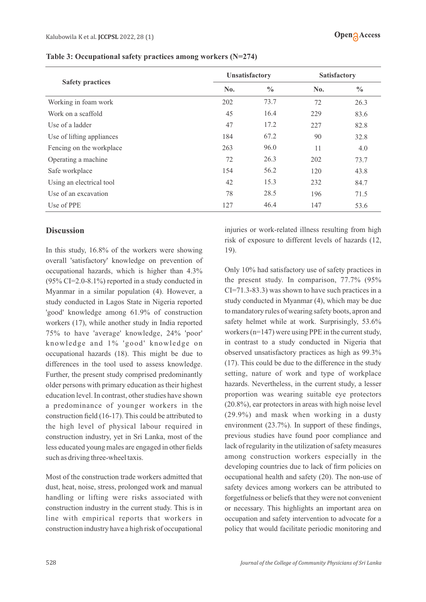| Table 3: Occupational safety practices among workers $(N=274)$ |  |  |  |
|----------------------------------------------------------------|--|--|--|
|----------------------------------------------------------------|--|--|--|

|                           | <b>Unsatisfactory</b> | <b>Satisfactory</b> |     |               |
|---------------------------|-----------------------|---------------------|-----|---------------|
| <b>Safety practices</b>   | No.                   | $\frac{0}{0}$       | No. | $\frac{0}{0}$ |
| Working in foam work      | 202                   | 73.7                | 72  | 26.3          |
| Work on a scaffold        | 45                    | 16.4                | 229 | 83.6          |
| Use of a ladder           | 47                    | 17.2                | 227 | 82.8          |
| Use of lifting appliances | 184                   | 67.2                | 90  | 32.8          |
| Fencing on the workplace  | 263                   | 96.0                | 11  | 4.0           |
| Operating a machine       | 72                    | 26.3                | 202 | 73.7          |
| Safe workplace            | 154                   | 56.2                | 120 | 43.8          |
| Using an electrical tool  | 42                    | 15.3                | 232 | 84.7          |
| Use of an excavation      | 78                    | 28.5                | 196 | 71.5          |
| Use of PPE                | 127                   | 46.4                | 147 | 53.6          |

### **Discussion**

In this study, 16.8% of the workers were showing overall 'satisfactory' knowledge on prevention of occupational hazards, which is higher than 4.3% (95% CI=2.0-8.1%) reported in a study conducted in Myanmar in a similar population (4). However, a study conducted in Lagos State in Nigeria reported 'good' knowledge among 61.9% of construction workers (17), while another study in India reported 75% to have 'average' knowledge, 24% 'poor' knowledge and 1% 'good' knowledge on occupational hazards (18). This might be due to differences in the tool used to assess knowledge. Further, the present study comprised predominantly older persons with primary education as their highest education level. In contrast, other studies have shown a predominance of younger workers in the construction field (16-17). This could be attributed to the high level of physical labour required in construction industry, yet in Sri Lanka, most of the less educated young males are engaged in other fields such as driving three-wheel taxis.

Most of the construction trade workers admitted that dust, heat, noise, stress, prolonged work and manual handling or lifting were risks associated with construction industry in the current study. This is in line with empirical reports that workers in construction industry have a high risk of occupational injuries or work-related illness resulting from high risk of exposure to different levels of hazards (12, 19).

Only 10% had satisfactory use of safety practices in the present study. In comparison, 77.7% (95% CI=71.3-83.3) was shown to have such practices in a study conducted in Myanmar (4), which may be due to mandatory rules of wearing safety boots, apron and safety helmet while at work. Surprisingly, 53.6% workers (n=147) were using PPE in the current study, in contrast to a study conducted in Nigeria that observed unsatisfactory practices as high as 99.3% (17). This could be due to the difference in the study setting, nature of work and type of workplace hazards. Nevertheless, in the current study, a lesser proportion was wearing suitable eye protectors (20.8%), ear protectors in areas with high noise level (29.9%) and mask when working in a dusty environment (23.7%). In support of these findings, previous studies have found poor compliance and lack of regularity in the utilization of safety measures among construction workers especially in the developing countries due to lack of firm policies on occupational health and safety (20). The non-use of safety devices among workers can be attributed to forgetfulness or beliefs that they were not convenient or necessary. This highlights an important area on occupation and safety intervention to advocate for a policy that would facilitate periodic monitoring and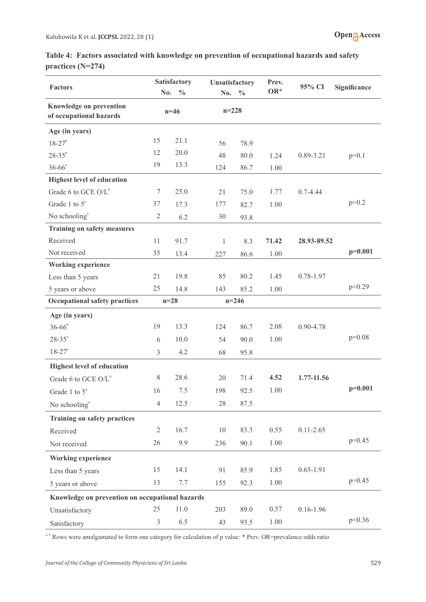| Table 4: Factors associated with knowledge on prevention of occupational hazards and safety |  |  |  |
|---------------------------------------------------------------------------------------------|--|--|--|
| practices $(N=274)$                                                                         |  |  |  |

| <b>Factors</b>                                            | No.            | Satisfactory<br>$\frac{0}{0}$ | <b>Unsatisfactory</b><br>No. | $\frac{0}{0}$ | Prev.<br>OR* | 95% CI        | Significance |
|-----------------------------------------------------------|----------------|-------------------------------|------------------------------|---------------|--------------|---------------|--------------|
| <b>Knowledge on prevention</b><br>of occupational hazards |                | $n=46$                        | $n=228$                      |               |              |               |              |
| Age (in years)                                            |                |                               |                              |               |              |               |              |
| $18 - 27$ <sup>b</sup>                                    | 15             | 21.1                          | 56                           | 78.9          |              |               |              |
| $28 - 35^{b}$                                             | 12             | 20.0                          | 48                           | 80.0          | 1.24         | 0.89-3.21     | $p=0.1$      |
| $36 - 66^a$                                               | 19             | 13.3                          | 124                          | 86.7          | 1.00         |               |              |
| <b>Highest level of education</b>                         |                |                               |                              |               |              |               |              |
| Grade 6 to GCE $O/L^b$                                    | $\tau$         | 25.0                          | 21                           | 75.0          | 1.77         | $0.7 - 4.44$  |              |
| Grade 1 to $5^{\circ}$                                    | 37             | 17.3                          | 177                          | 82.7          | 1.00         |               | $p=0.2$      |
| No schooling <sup>a</sup>                                 | $\sqrt{2}$     | 6.2                           | 30                           | 93.8          |              |               |              |
| <b>Training on safety measures</b>                        |                |                               |                              |               |              |               |              |
| Received                                                  | 11             | 91.7                          | $\mathbf{1}$                 | 8.3           | 71.42        | 28.93-89.52   |              |
| Not received                                              | 35             | 13.4                          | 227                          | 86.6          | 1.00         |               | $p=0.001$    |
| <b>Working experience</b>                                 |                |                               |                              |               |              |               |              |
| Less than 5 years                                         | 21             | 19.8                          | 85                           | 80.2          | 1.45         | 0.78-1.97     |              |
| 5 years or above                                          | 25             | 14.8                          | 143                          | 85.2          | 1.00         |               | $p=0.29$     |
| <b>Occupational safety practices</b>                      |                | $n=28$                        |                              | $n = 246$     |              |               |              |
| Age (in years)                                            |                |                               |                              |               |              |               |              |
| $36 - 66^b$                                               | 19             | 13.3                          | 124                          | 86.7          | 2.08         | 0.90-4.78     |              |
| $28 - 35^{\circ}$                                         | 6              | 10.0                          | 54                           | 90.0          | 1.00         |               | $p=0.08$     |
| $18 - 27$ <sup>a</sup>                                    | 3              | 4.2                           | 68                           | 95.8          |              |               |              |
| <b>Highest level of education</b>                         |                |                               |                              |               |              |               |              |
| Grade 6 to GCE O/L <sup>b</sup>                           | 8              | 28.6                          | 20                           | 71.4          | 4.52         | 1.77-11.56    |              |
| Grade 1 to $5^{\circ}$                                    | 16             | 7.5                           | 198                          | 92.5          | 1.00         |               | $p=0.001$    |
| No schooling <sup>a</sup>                                 | $\overline{4}$ | 12.5                          | $28\,$                       | 87.5          |              |               |              |
| <b>Training on safety practices</b>                       |                |                               |                              |               |              |               |              |
| Received                                                  | $\sqrt{2}$     | 16.7                          | $10\,$                       | 83.3          | 0.55         | $0.11 - 2.65$ |              |
| Not received                                              | 26             | 9.9                           | 236                          | 90.1          | 1.00         |               | $p=0.45$     |
| <b>Working experience</b>                                 |                |                               |                              |               |              |               |              |
| Less than 5 years                                         | 15             | 14.1                          | 91                           | 85.9          | 1.85         | $0.65 - 1.91$ |              |
| 5 years or above                                          | 13             | 7.7                           | 155                          | 92.3          | 1.00         |               | $p=0.45$     |
| Knowledge on prevention on occupational hazards           |                |                               |                              |               |              |               |              |
| Unsatisfactory                                            | 25             | 11.0                          | 203                          | 89.0          | 0.57         | $0.16 - 1.96$ |              |
| Satisfactory                                              | 3              | 6.5                           | 43                           | 93.5          | 1.00         |               | $p=0.36$     |

<sup>a, b</sup> Rows were amalgamated to form one category for calculation of p value: \* Prev. OR=prevalence odds ratio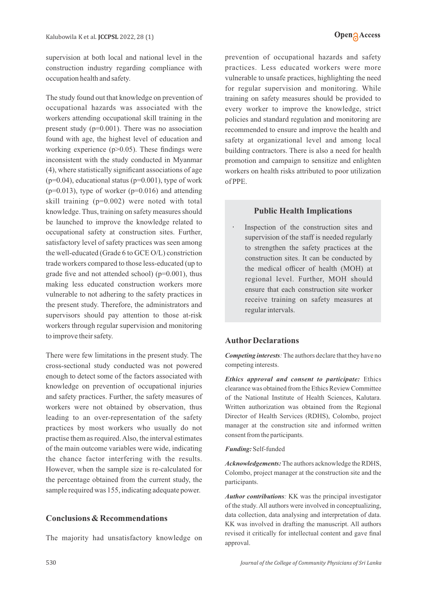supervision at both local and national level in the construction industry regarding compliance with occupation health and safety.

The study found out that knowledge on prevention of occupational hazards was associated with the workers attending occupational skill training in the present study (p=0.001). There was no association found with age, the highest level of education and working experience (p>0.05). These findings were inconsistent with the study conducted in Myanmar (4), where statistically significant associations of age  $(p=0.04)$ , educational status  $(p=0.001)$ , type of work ( $p=0.013$ ), type of worker ( $p=0.016$ ) and attending skill training (p=0.002) were noted with total knowledge. Thus, training on safety measures should be launched to improve the knowledge related to occupational safety at construction sites. Further, satisfactory level of safety practices was seen among the well-educated (Grade 6 to GCE O/L) constriction trade workers compared to those less-educated (up to grade five and not attended school) ( $p=0.001$ ), thus making less educated construction workers more vulnerable to not adhering to the safety practices in the present study. Therefore, the administrators and supervisors should pay attention to those at-risk workers through regular supervision and monitoring to improve their safety.

There were few limitations in the present study. The cross-sectional study conducted was not powered enough to detect some of the factors associated with knowledge on prevention of occupational injuries and safety practices. Further, the safety measures of workers were not obtained by observation, thus leading to an over-representation of the safety practices by most workers who usually do not practise them as required. Also, the interval estimates of the main outcome variables were wide, indicating the chance factor interfering with the results. However, when the sample size is re-calculated for the percentage obtained from the current study, the sample required was 155, indicating adequate power.

#### **Conclusions & Recommendations**

The majority had unsatisfactory knowledge on

prevention of occupational hazards and safety practices. Less educated workers were more vulnerable to unsafe practices, highlighting the need for regular supervision and monitoring. While training on safety measures should be provided to every worker to improve the knowledge, strict policies and standard regulation and monitoring are recommended to ensure and improve the health and safety at organizational level and among local building contractors. There is also a need for health promotion and campaign to sensitize and enlighten workers on health risks attributed to poor utilization of PPE.

### **Public Health Implications**

Inspection of the construction sites and supervision of the staff is needed regularly to strengthen the safety practices at the construction sites. It can be conducted by the medical officer of health (MOH) at regional level. Further, MOH should ensure that each construction site worker receive training on safety measures at regular intervals.

#### **AuthorDeclarations**

*Competing interests*: The authors declare that they have no competing interests.

*Ethics approval and consent to participate:* Ethics clearance was obtained from the Ethics Review Committee of the National Institute of Health Sciences, Kalutara. Written authorization was obtained from the Regional Director of Health Services (RDHS), Colombo, project manager at the construction site and informed written consent from the participants.

#### *Funding:* Self-funded

*Acknowledgements:*The authors acknowledge the RDHS, Colombo, project manager at the construction site and the participants.

*Author contributions:* KK was the principal investigator of the study. All authors were involved in conceptualizing, data collection, data analysing and interpretation of data. KK was involved in drafting the manuscript. All authors revised it critically for intellectual content and gave final approval.